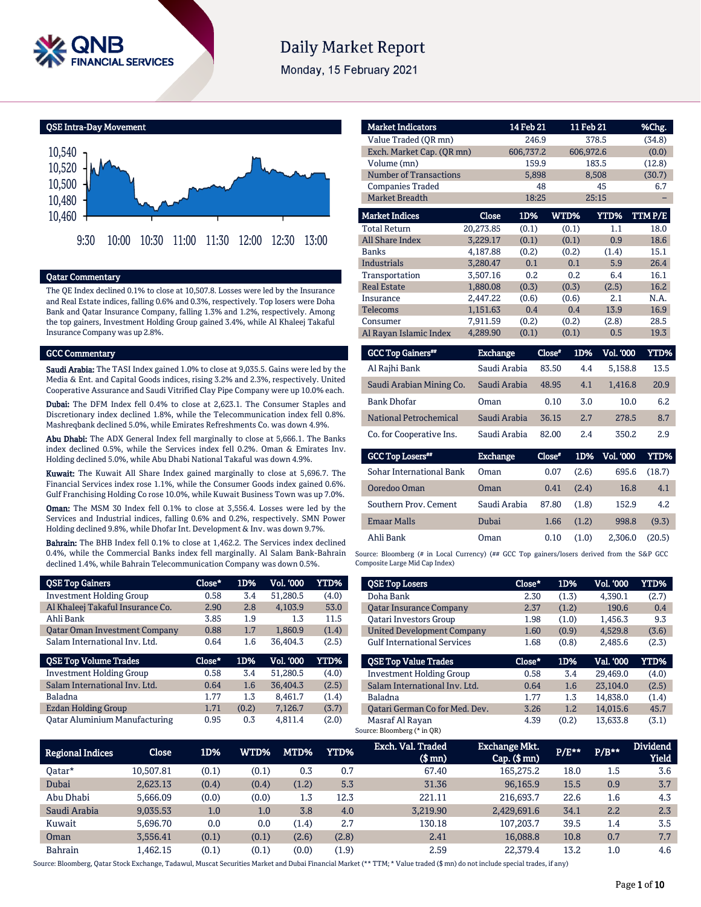

## **Daily Market Report**

Monday, 15 February 2021



#### Qatar Commentary

The QE Index declined 0.1% to close at 10,507.8. Losses were led by the Insurance and Real Estate indices, falling 0.6% and 0.3%, respectively. Top losers were Doha Bank and Qatar Insurance Company, falling 1.3% and 1.2%, respectively. Among the top gainers, Investment Holding Group gained 3.4%, while Al Khaleej Takaful Insurance Company was up 2.8%.

#### GCC Commentary

Saudi Arabia: The TASI Index gained 1.0% to close at 9,035.5. Gains were led by the Media & Ent. and Capital Goods indices, rising 3.2% and 2.3%, respectively. United Cooperative Assurance and Saudi Vitrified Clay Pipe Company were up 10.0% each.

Dubai: The DFM Index fell 0.4% to close at 2,623.1. The Consumer Staples and Discretionary index declined 1.8%, while the Telecommunication index fell 0.8%. Mashreqbank declined 5.0%, while Emirates Refreshments Co. was down 4.9%.

Abu Dhabi: The ADX General Index fell marginally to close at 5,666.1. The Banks index declined 0.5%, while the Services index fell 0.2%. Oman & Emirates Inv. Holding declined 5.0%, while Abu Dhabi National Takaful was down 4.9%.

Kuwait: The Kuwait All Share Index gained marginally to close at 5,696.7. The Financial Services index rose 1.1%, while the Consumer Goods index gained 0.6%. Gulf Franchising Holding Co rose 10.0%, while Kuwait Business Town was up 7.0%.

Oman: The MSM 30 Index fell 0.1% to close at 3,556.4. Losses were led by the Services and Industrial indices, falling 0.6% and 0.2%, respectively. SMN Power Holding declined 9.8%, while Dhofar Int. Development & Inv. was down 9.7%.

Bahrain: The BHB Index fell 0.1% to close at 1,462.2. The Services index declined 0.4%, while the Commercial Banks index fell marginally. Al Salam Bank-Bahrain declined 1.4%, while Bahrain Telecommunication Company was down 0.5%.

| <b>QSE Top Gainers</b>               | Close* | 1D%   | Vol. '000 | YTD%  |
|--------------------------------------|--------|-------|-----------|-------|
| <b>Investment Holding Group</b>      | 0.58   | 3.4   | 51,280.5  | (4.0) |
| Al Khaleej Takaful Insurance Co.     | 2.90   | 2.8   | 4,103.9   | 53.0  |
| Ahli Bank                            | 3.85   | 1.9   | 1.3       | 11.5  |
| <b>Qatar Oman Investment Company</b> | 0.88   | 1.7   | 1.860.9   | (1.4) |
| Salam International Inv. Ltd.        | 0.64   | 1.6   | 36.404.3  | (2.5) |
|                                      |        |       |           |       |
| <b>QSE Top Volume Trades</b>         | Close* | 1D%   | Vol. '000 | YTD%  |
| <b>Investment Holding Group</b>      | 0.58   | 3.4   | 51.280.5  | (4.0) |
| Salam International Inv. Ltd.        | 0.64   | 1.6   | 36,404.3  | (2.5) |
| <b>Baladna</b>                       | 1.77   | 1.3   | 8,461.7   | (1.4) |
| Ezdan Holding Group                  | 1.71   | (0.2) | 7.126.7   | (3.7) |

| <b>Market Indicators</b>      |                 | 14 Feb 21 |               | 11 Feb 21        | %Chg.   |
|-------------------------------|-----------------|-----------|---------------|------------------|---------|
| Value Traded (OR mn)          |                 | 246.9     |               | 378.5            | (34.8)  |
| Exch. Market Cap. (QR mn)     |                 | 606,737.2 |               | 606,972.6        | (0.0)   |
| Volume (mn)                   |                 | 159.9     |               | 183.5            | (12.8)  |
| <b>Number of Transactions</b> |                 | 5,898     |               | 8,508            | (30.7)  |
| <b>Companies Traded</b>       |                 | 48        |               | 45               | 6.7     |
| <b>Market Breadth</b>         |                 | 18:25     |               | 25:15            |         |
| <b>Market Indices</b>         | Close           | 1D%       | WTD%          | YTD%             | TTM P/E |
| <b>Total Return</b>           | 20,273.85       | (0.1)     | (0.1)         | 1.1              | 18.0    |
| <b>All Share Index</b>        | 3,229.17        | (0.1)     | (0.1)         | 0.9              | 18.6    |
| <b>Banks</b>                  | 4,187.88        | (0.2)     | (0.2)         | (1.4)            | 15.1    |
| <b>Industrials</b>            | 3,280.47        | 0.1       | 0.1           | 5.9              | 26.4    |
| Transportation                | 3,507.16        | 0.2       | 0.2           | 6.4              | 16.1    |
| <b>Real Estate</b>            | 1,880.08        | (0.3)     | (0.3)         | (2.5)            | 16.2    |
| Insurance                     | 2,447.22        | (0.6)     | (0.6)         | 2.1              | N.A.    |
| Telecoms                      | 1,151.63        | 0.4       | 0.4           | 13.9             | 16.9    |
| Consumer                      | 7,911.59        | (0.2)     | (0.2)         | (2.8)            | 28.5    |
| Al Rayan Islamic Index        | 4,289.90        | (0.1)     | (0.1)         | 0.5              | 19.3    |
| <b>GCC Top Gainers**</b>      | <b>Exchange</b> |           | Close*<br>1D% | <b>Vol. '000</b> | YTD%    |
| Al Raihi Bank                 | Saudi Arahia    |           | 83.50         | 44<br>51588      | 13.5    |

| <b>GCC Top Losers</b>    | <b>Exchange</b> | Close* | 1D% | <b>Vol. '000</b> | YTD% |
|--------------------------|-----------------|--------|-----|------------------|------|
| Co. for Cooperative Ins. | Saudi Arabia    | 82.00  | 2.4 | 350.2            | 2.9  |
| National Petrochemical   | Saudi Arabia    | 36.15  | 2.7 | 278.5            | 8.7  |
| <b>Bank Dhofar</b>       | Oman            | 0.10   | 3.0 | 10.0             | 6.2  |
| Saudi Arabian Mining Co. | Saudi Arabia    | 48.95  | 4.1 | 1.416.8          | 20.9 |
| Al Rajhi Bank            | Saudi Arabia    | 83.50  | 4.4 | 5.158.8          | 13.5 |

| Sohar International Bank | Oman         | 0.07  | (2.6) | 695.6   | (18.7) |
|--------------------------|--------------|-------|-------|---------|--------|
| Ooredoo Oman             | Oman         | 0.41  | (2.4) | 16.8    | 4.1    |
| Southern Prov. Cement    | Saudi Arabia | 87.80 | (1.8) | 152.9   | 4.2    |
| <b>Emaar Malls</b>       | Dubai        | 1.66  | (1.2) | 998.8   | (9.3)  |
| Ahli Bank                | Oman         | 0.10  | (1.0) | 2,306.0 | (20.5) |

Source: Bloomberg (# in Local Currency) (## GCC Top gainers/losers derived from the S&P GCC Composite Large Mid Cap Index)

| <b>QSE Top Losers</b>              | Close* | 1D%   | Vol. '000 | YTD%  |
|------------------------------------|--------|-------|-----------|-------|
| Doha Bank                          | 2.30   | (1.3) | 4,390.1   | (2.7) |
| <b>Oatar Insurance Company</b>     | 2.37   | (1.2) | 190.6     | 0.4   |
| <b>Oatari Investors Group</b>      | 1.98   | (1.0) | 1,456.3   | 9.3   |
| <b>United Development Company</b>  | 1.60   | (0.9) | 4,529.8   | (3.6) |
| <b>Gulf International Services</b> | 1.68   | (0.8) | 2.485.6   | (2.3) |
|                                    |        |       |           |       |
| <b>OSE Top Value Trades</b>        | Close* | 1D%   | Val. '000 | YTD%  |
| <b>Investment Holding Group</b>    | 0.58   | 3.4   | 29.469.0  | (4.0) |
| Salam International Inv. Ltd.      | 0.64   | 1.6   | 23.104.0  | (2.5) |
| Baladna                            | 1.77   | 1.3   | 14.838.0  | (1.4) |
| Oatari German Co for Med. Dev.     | 3.26   | 1.2   | 14.015.6  | 45.7  |

| <b>Regional Indices</b> | <b>Close</b> | 1D%   | WTD%' | MTD%  | YTD%  | Exch. Val. Traded<br>$$$ mn $)$ | <b>Exchange Mkt.</b><br>Cap. (\$ mn) | P/E** | $P/B**$ | <b>Dividend</b><br><b>Yield</b> |
|-------------------------|--------------|-------|-------|-------|-------|---------------------------------|--------------------------------------|-------|---------|---------------------------------|
| Oatar*                  | 10.507.81    | (0.1) | (0.1) | 0.3   | 0.7   | 67.40                           | 165.275.2                            | 18.0  | $1.5\,$ | 3.6                             |
| Dubai                   | 2,623.13     | (0.4) | (0.4) | (1.2) | 5.3   | 31.36                           | 96,165.9                             | 15.5  | 0.9     | 3.7                             |
| Abu Dhabi               | 5.666.09     | (0.0) | (0.0) | 1.3   | 12.3  | 221.11                          | 216,693.7                            | 22.6  | 1.6     | 4.3                             |
| Saudi Arabia            | 9,035.53     | 1.0   | 1.0   | 3.8   | 4.0   | 3,219.90                        | 2.429.691.6                          | 34.1  | 2.2     | 2.3                             |
| Kuwait                  | 5.696.70     | 0.0   | 0.0   | (1.4) | 2.7   | 130.18                          | 107.203.7                            | 39.5  | 1.4     | 3.5                             |
| Oman                    | 3,556.41     | (0.1) | (0.1) | (2.6) | (2.8) | 2.41                            | 16.088.8                             | 10.8  | 0.7     | 7.7                             |
| <b>Bahrain</b>          | 1.462.15     | (0.1) | (0.1) | (0.0) | (1.9) | 2.59                            | 22,379.4                             | 13.2  | $1.0\,$ | 4.6                             |

Source: Bloomberg, Qatar Stock Exchange, Tadawul, Muscat Securities Market and Dubai Financial Market (\*\* TTM; \* Value traded (\$ mn) do not include special trades, if any)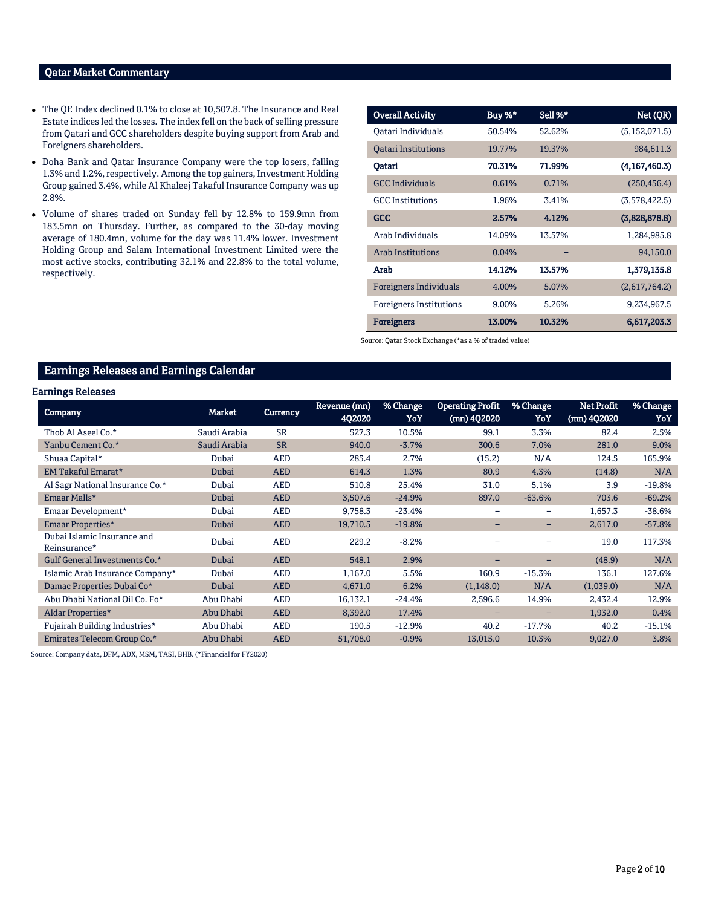#### Qatar Market Commentary

- The QE Index declined 0.1% to close at 10,507.8. The Insurance and Real Estate indices led the losses. The index fell on the back of selling pressure from Qatari and GCC shareholders despite buying support from Arab and Foreigners shareholders.
- Doha Bank and Qatar Insurance Company were the top losers, falling 1.3% and 1.2%, respectively. Among the top gainers, Investment Holding Group gained 3.4%, while Al Khaleej Takaful Insurance Company was up 2.8%.
- Volume of shares traded on Sunday fell by 12.8% to 159.9mn from 183.5mn on Thursday. Further, as compared to the 30-day moving average of 180.4mn, volume for the day was 11.4% lower. Investment Holding Group and Salam International Investment Limited were the most active stocks, contributing 32.1% and 22.8% to the total volume, respectively.

| <b>Overall Activity</b>        | Buy %* | Sell %* | Net (QR)        |
|--------------------------------|--------|---------|-----------------|
| Qatari Individuals             | 50.54% | 52.62%  | (5, 152, 071.5) |
| <b>Oatari Institutions</b>     | 19.77% | 19.37%  | 984,611.3       |
| Oatari                         | 70.31% | 71.99%  | (4, 167, 460.3) |
| <b>GCC</b> Individuals         | 0.61%  | 0.71%   | (250, 456.4)    |
| <b>GCC</b> Institutions        | 1.96%  | 3.41%   | (3,578,422.5)   |
| <b>GCC</b>                     | 2.57%  | 4.12%   | (3,828,878.8)   |
| Arab Individuals               | 14.09% | 13.57%  | 1,284,985.8     |
| <b>Arab Institutions</b>       | 0.04%  |         | 94,150.0        |
| Arab                           | 14.12% | 13.57%  | 1,379,135.8     |
| Foreigners Individuals         | 4.00%  | 5.07%   | (2,617,764.2)   |
| <b>Foreigners Institutions</b> | 9.00%  | 5.26%   | 9,234,967.5     |
| <b>Foreigners</b>              | 13.00% | 10.32%  | 6,617,203.3     |

Source: Qatar Stock Exchange (\*as a % of traded value)

#### Earnings Releases and Earnings Calendar

#### Earnings Releases

| <b>Company</b>                              | <b>Market</b> | Currency   | Revenue (mn)<br><b>4Q2020</b> | % Change<br>YoY | <b>Operating Profit</b><br>(mn) 402020 | % Change<br>YoY | Net Profit<br>(mn) 4Q2020 | % Change<br>YoY |
|---------------------------------------------|---------------|------------|-------------------------------|-----------------|----------------------------------------|-----------------|---------------------------|-----------------|
| Thob Al Aseel Co.*                          | Saudi Arabia  | <b>SR</b>  | 527.3                         | 10.5%           | 99.1                                   | 3.3%            | 82.4                      | 2.5%            |
| Yanbu Cement Co.*                           | Saudi Arabia  | <b>SR</b>  | 940.0                         | $-3.7%$         | 300.6                                  | 7.0%            | 281.0                     | 9.0%            |
| Shuaa Capital*                              | Dubai         | <b>AED</b> | 285.4                         | 2.7%            | (15.2)                                 | N/A             | 124.5                     | 165.9%          |
| <b>EM Takaful Emarat*</b>                   | Dubai         | <b>AED</b> | 614.3                         | 1.3%            | 80.9                                   | 4.3%            | (14.8)                    | N/A             |
| Al Sagr National Insurance Co.*             | Dubai         | <b>AED</b> | 510.8                         | 25.4%           | 31.0                                   | 5.1%            | 3.9                       | $-19.8%$        |
| Emaar Malls*                                | Dubai         | <b>AED</b> | 3,507.6                       | $-24.9%$        | 897.0                                  | $-63.6%$        | 703.6                     | $-69.2%$        |
| Emaar Development*                          | Dubai         | <b>AED</b> | 9,758.3                       | $-23.4%$        |                                        |                 | 1,657.3                   | -38.6%          |
| <b>Emaar Properties*</b>                    | Dubai         | <b>AED</b> | 19,710.5                      | $-19.8%$        | -                                      | -               | 2,617.0                   | $-57.8%$        |
| Dubai Islamic Insurance and<br>Reinsurance* | Dubai         | <b>AED</b> | 229.2                         | $-8.2%$         |                                        |                 | 19.0                      | 117.3%          |
| Gulf General Investments Co.*               | Dubai         | <b>AED</b> | 548.1                         | 2.9%            | -                                      |                 | (48.9)                    | N/A             |
| Islamic Arab Insurance Company*             | Dubai         | <b>AED</b> | 1,167.0                       | 5.5%            | 160.9                                  | $-15.3%$        | 136.1                     | 127.6%          |
| Damac Properties Dubai Co*                  | Dubai         | <b>AED</b> | 4,671.0                       | 6.2%            | (1,148.0)                              | N/A             | (1,039.0)                 | N/A             |
| Abu Dhabi National Oil Co. Fo*              | Abu Dhabi     | <b>AED</b> | 16,132.1                      | $-24.4%$        | 2,596.6                                | 14.9%           | 2,432.4                   | 12.9%           |
| <b>Aldar Properties*</b>                    | Abu Dhabi     | <b>AED</b> | 8,392.0                       | 17.4%           |                                        |                 | 1,932.0                   | 0.4%            |
| Fujairah Building Industries*               | Abu Dhabi     | <b>AED</b> | 190.5                         | $-12.9%$        | 40.2                                   | $-17.7%$        | 40.2                      | $-15.1%$        |
| Emirates Telecom Group Co.*                 | Abu Dhabi     | <b>AED</b> | 51,708.0                      | $-0.9%$         | 13,015.0                               | 10.3%           | 9,027.0                   | 3.8%            |

Source: Company data, DFM, ADX, MSM, TASI, BHB. (\*Financial for FY2020)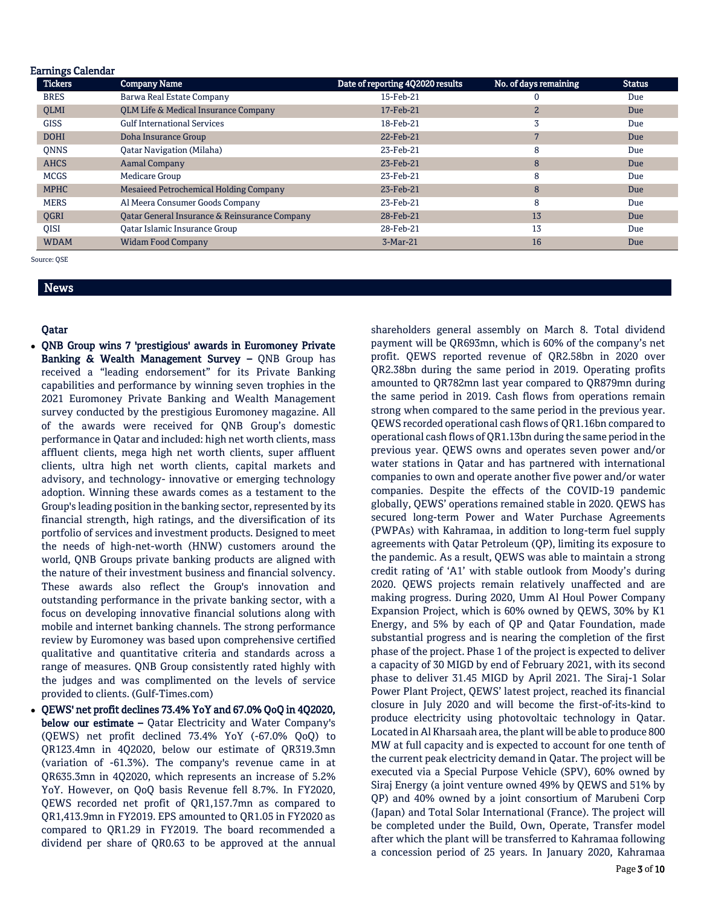| <b>Earnings Calendar</b> |                                                 |                                  |                       |               |
|--------------------------|-------------------------------------------------|----------------------------------|-----------------------|---------------|
| <b>Tickers</b>           | <b>Company Name</b>                             | Date of reporting 4Q2020 results | No. of days remaining | <b>Status</b> |
| <b>BRES</b>              | Barwa Real Estate Company                       | 15-Feb-21                        | 0                     | Due           |
| QLMI                     | <b>OLM Life &amp; Medical Insurance Company</b> | 17-Feb-21                        | $\overline{2}$        | Due           |
| <b>GISS</b>              | <b>Gulf International Services</b>              | 18-Feb-21                        | 3                     | Due           |
| <b>DOHI</b>              | Doha Insurance Group                            | 22-Feb-21                        | $\overline{ }$        | Due           |
| <b>ONNS</b>              | <b>Oatar Navigation (Milaha)</b>                | 23-Feb-21                        | 8                     | Due           |
| <b>AHCS</b>              | <b>Aamal Company</b>                            | 23-Feb-21                        | 8                     | Due           |
| <b>MCGS</b>              | Medicare Group                                  | 23-Feb-21                        | 8                     | Due           |
| <b>MPHC</b>              | Mesaieed Petrochemical Holding Company          | 23-Feb-21                        | 8                     | Due           |
| <b>MERS</b>              | Al Meera Consumer Goods Company                 | 23-Feb-21                        | 8                     | Due           |
| QGRI                     | Oatar General Insurance & Reinsurance Company   | 28-Feb-21                        | 13                    | Due           |
| <b>OISI</b>              | <b>Qatar Islamic Insurance Group</b>            | 28-Feb-21                        | 13                    | Due           |
| <b>WDAM</b>              | <b>Widam Food Company</b>                       | $3-Mar-21$                       | 16                    | Due           |

Source: QSE

#### News

#### Qatar

 QNB Group wins 7 'prestigious' awards in Euromoney Private Banking & Wealth Management Survey - QNB Group has received a "leading endorsement" for its Private Banking capabilities and performance by winning seven trophies in the 2021 Euromoney Private Banking and Wealth Management survey conducted by the prestigious Euromoney magazine. All of the awards were received for QNB Group's domestic performance in Qatar and included: high net worth clients, mass affluent clients, mega high net worth clients, super affluent clients, ultra high net worth clients, capital markets and advisory, and technology- innovative or emerging technology adoption. Winning these awards comes as a testament to the Group's leading position in the banking sector, represented by its financial strength, high ratings, and the diversification of its portfolio of services and investment products. Designed to meet the needs of high-net-worth (HNW) customers around the world, QNB Groups private banking products are aligned with the nature of their investment business and financial solvency. These awards also reflect the Group's innovation and outstanding performance in the private banking sector, with a focus on developing innovative financial solutions along with mobile and internet banking channels. The strong performance review by Euromoney was based upon comprehensive certified qualitative and quantitative criteria and standards across a range of measures. QNB Group consistently rated highly with the judges and was complimented on the levels of service provided to clients. (Gulf-Times.com)

 QEWS' net profit declines 73.4% YoY and 67.0% QoQ in 4Q2020, below our estimate - Qatar Electricity and Water Company's (QEWS) net profit declined 73.4% YoY (-67.0% QoQ) to QR123.4mn in 4Q2020, below our estimate of QR319.3mn (variation of -61.3%). The company's revenue came in at QR635.3mn in 4Q2020, which represents an increase of 5.2% YoY. However, on QoQ basis Revenue fell 8.7%. In FY2020, QEWS recorded net profit of QR1,157.7mn as compared to QR1,413.9mn in FY2019. EPS amounted to QR1.05 in FY2020 as compared to QR1.29 in FY2019. The board recommended a dividend per share of QR0.63 to be approved at the annual

shareholders general assembly on March 8. Total dividend payment will be QR693mn, which is 60% of the company's net profit. QEWS reported revenue of QR2.58bn in 2020 over QR2.38bn during the same period in 2019. Operating profits amounted to QR782mn last year compared to QR879mn during the same period in 2019. Cash flows from operations remain strong when compared to the same period in the previous year. QEWS recorded operational cash flows of QR1.16bn compared to operational cash flows of QR1.13bn during the same period in the previous year. QEWS owns and operates seven power and/or water stations in Qatar and has partnered with international companies to own and operate another five power and/or water companies. Despite the effects of the COVID-19 pandemic globally, QEWS' operations remained stable in 2020. QEWS has secured long-term Power and Water Purchase Agreements (PWPAs) with Kahramaa, in addition to long-term fuel supply agreements with Qatar Petroleum (QP), limiting its exposure to the pandemic. As a result, QEWS was able to maintain a strong credit rating of 'A1' with stable outlook from Moody's during 2020. QEWS projects remain relatively unaffected and are making progress. During 2020, Umm Al Houl Power Company Expansion Project, which is 60% owned by QEWS, 30% by K1 Energy, and 5% by each of QP and Qatar Foundation, made substantial progress and is nearing the completion of the first phase of the project. Phase 1 of the project is expected to deliver a capacity of 30 MIGD by end of February 2021, with its second phase to deliver 31.45 MIGD by April 2021. The Siraj-1 Solar Power Plant Project, QEWS' latest project, reached its financial closure in July 2020 and will become the first-of-its-kind to produce electricity using photovoltaic technology in Qatar. Located in Al Kharsaah area, the plant will be able to produce 800 MW at full capacity and is expected to account for one tenth of the current peak electricity demand in Qatar. The project will be executed via a Special Purpose Vehicle (SPV), 60% owned by Siraj Energy (a joint venture owned 49% by QEWS and 51% by QP) and 40% owned by a joint consortium of Marubeni Corp (Japan) and Total Solar International (France). The project will be completed under the Build, Own, Operate, Transfer model after which the plant will be transferred to Kahramaa following a concession period of 25 years. In January 2020, Kahramaa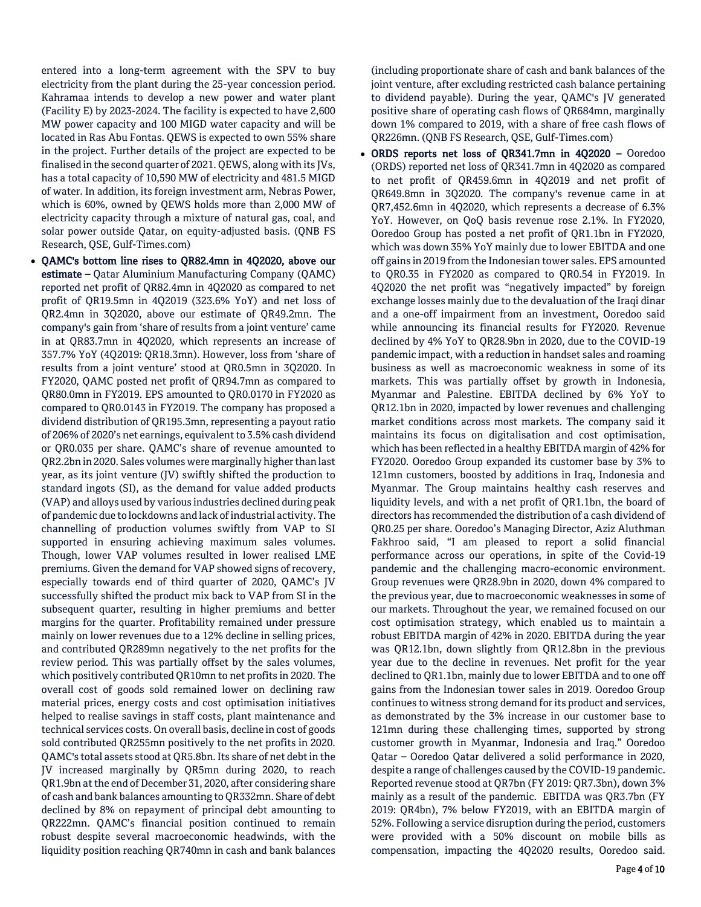entered into a long-term agreement with the SPV to buy electricity from the plant during the 25-year concession period. Kahramaa intends to develop a new power and water plant (Facility E) by 2023-2024. The facility is expected to have 2,600 MW power capacity and 100 MIGD water capacity and will be located in Ras Abu Fontas. QEWS is expected to own 55% share in the project. Further details of the project are expected to be finalised in the second quarter of 2021. QEWS, along with its JVs, has a total capacity of 10,590 MW of electricity and 481.5 MIGD of water. In addition, its foreign investment arm, Nebras Power, which is 60%, owned by QEWS holds more than 2,000 MW of electricity capacity through a mixture of natural gas, coal, and solar power outside Qatar, on equity-adjusted basis. (QNB FS Research, QSE, Gulf-Times.com)

 QAMC's bottom line rises to QR82.4mn in 4Q2020, above our estimate – Qatar Aluminium Manufacturing Company (QAMC) reported net profit of QR82.4mn in 4Q2020 as compared to net profit of QR19.5mn in 4Q2019 (323.6% YoY) and net loss of QR2.4mn in 3Q2020, above our estimate of QR49.2mn. The company's gain from 'share of results from a joint venture' came in at QR83.7mn in 4Q2020, which represents an increase of 357.7% YoY (4Q2019: QR18.3mn). However, loss from 'share of results from a joint venture' stood at QR0.5mn in 3Q2020. In FY2020, QAMC posted net profit of QR94.7mn as compared to QR80.0mn in FY2019. EPS amounted to QR0.0170 in FY2020 as compared to QR0.0143 in FY2019. The company has proposed a dividend distribution of QR195.3mn, representing a payout ratio of 206% of 2020's net earnings, equivalent to 3.5% cash dividend or QR0.035 per share. QAMC's share of revenue amounted to QR2.2bn in 2020. Sales volumes were marginally higher than last year, as its joint venture (JV) swiftly shifted the production to standard ingots (SI), as the demand for value added products (VAP) and alloys used by various industries declined during peak of pandemic due to lockdowns and lack of industrial activity. The channelling of production volumes swiftly from VAP to SI supported in ensuring achieving maximum sales volumes. Though, lower VAP volumes resulted in lower realised LME premiums. Given the demand for VAP showed signs of recovery, especially towards end of third quarter of 2020, QAMC's JV successfully shifted the product mix back to VAP from SI in the subsequent quarter, resulting in higher premiums and better margins for the quarter. Profitability remained under pressure mainly on lower revenues due to a 12% decline in selling prices, and contributed QR289mn negatively to the net profits for the review period. This was partially offset by the sales volumes, which positively contributed QR10mn to net profits in 2020. The overall cost of goods sold remained lower on declining raw material prices, energy costs and cost optimisation initiatives helped to realise savings in staff costs, plant maintenance and technical services costs. On overall basis, decline in cost of goods sold contributed QR255mn positively to the net profits in 2020. QAMC's total assets stood at QR5.8bn. Its share of net debt in the JV increased marginally by QR5mn during 2020, to reach QR1.9bn at the end of December 31, 2020, after considering share of cash and bank balances amounting to QR332mn. Share of debt declined by 8% on repayment of principal debt amounting to QR222mn. QAMC's financial position continued to remain robust despite several macroeconomic headwinds, with the liquidity position reaching QR740mn in cash and bank balances

(including proportionate share of cash and bank balances of the joint venture, after excluding restricted cash balance pertaining to dividend payable). During the year, QAMC's JV generated positive share of operating cash flows of QR684mn, marginally down 1% compared to 2019, with a share of free cash flows of QR226mn. (QNB FS Research, QSE, Gulf-Times.com)

 ORDS reports net loss of QR341.7mn in 4Q2020 – Ooredoo (ORDS) reported net loss of QR341.7mn in 4Q2020 as compared to net profit of QR459.6mn in 4Q2019 and net profit of QR649.8mn in 3Q2020. The company's revenue came in at QR7,452.6mn in 4Q2020, which represents a decrease of 6.3% YoY. However, on QoQ basis revenue rose 2.1%. In FY2020, Ooredoo Group has posted a net profit of QR1.1bn in FY2020, which was down 35% YoY mainly due to lower EBITDA and one off gains in 2019 from the Indonesian tower sales. EPS amounted to QR0.35 in FY2020 as compared to QR0.54 in FY2019. In 4Q2020 the net profit was "negatively impacted" by foreign exchange losses mainly due to the devaluation of the Iraqi dinar and a one-off impairment from an investment, Ooredoo said while announcing its financial results for FY2020. Revenue declined by 4% YoY to QR28.9bn in 2020, due to the COVID-19 pandemic impact, with a reduction in handset sales and roaming business as well as macroeconomic weakness in some of its markets. This was partially offset by growth in Indonesia, Myanmar and Palestine. EBITDA declined by 6% YoY to QR12.1bn in 2020, impacted by lower revenues and challenging market conditions across most markets. The company said it maintains its focus on digitalisation and cost optimisation, which has been reflected in a healthy EBITDA margin of 42% for FY2020. Ooredoo Group expanded its customer base by 3% to 121mn customers, boosted by additions in Iraq, Indonesia and Myanmar. The Group maintains healthy cash reserves and liquidity levels, and with a net profit of QR1.1bn, the board of directors has recommended the distribution of a cash dividend of QR0.25 per share. Ooredoo's Managing Director, Aziz Aluthman Fakhroo said, "I am pleased to report a solid financial performance across our operations, in spite of the Covid-19 pandemic and the challenging macro-economic environment. Group revenues were QR28.9bn in 2020, down 4% compared to the previous year, due to macroeconomic weaknesses in some of our markets. Throughout the year, we remained focused on our cost optimisation strategy, which enabled us to maintain a robust EBITDA margin of 42% in 2020. EBITDA during the year was QR12.1bn, down slightly from QR12.8bn in the previous year due to the decline in revenues. Net profit for the year declined to QR1.1bn, mainly due to lower EBITDA and to one off gains from the Indonesian tower sales in 2019. Ooredoo Group continues to witness strong demand for its product and services, as demonstrated by the 3% increase in our customer base to 121mn during these challenging times, supported by strong customer growth in Myanmar, Indonesia and Iraq." Ooredoo Qatar – Ooredoo Qatar delivered a solid performance in 2020, despite a range of challenges caused by the COVID-19 pandemic. Reported revenue stood at QR7bn (FY 2019: QR7.3bn), down 3% mainly as a result of the pandemic. EBITDA was QR3.7bn (FY 2019: QR4bn), 7% below FY2019, with an EBITDA margin of 52%. Following a service disruption during the period, customers were provided with a 50% discount on mobile bills as compensation, impacting the 4Q2020 results, Ooredoo said.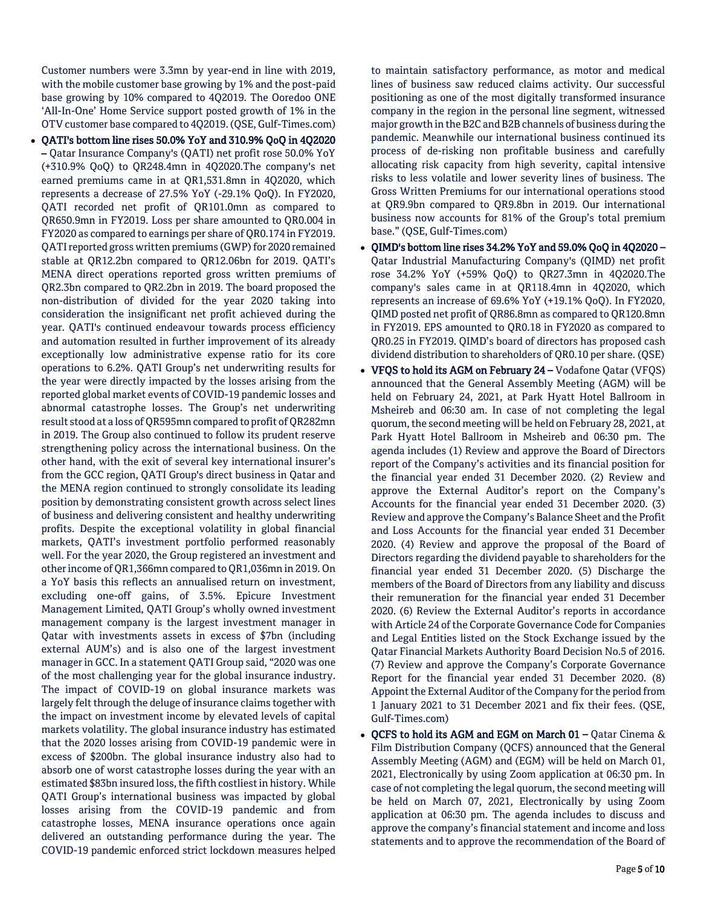Customer numbers were 3.3mn by year-end in line with 2019, with the mobile customer base growing by 1% and the post-paid base growing by 10% compared to 4Q2019. The Ooredoo ONE 'All-In-One' Home Service support posted growth of 1% in the OTV customer base compared to 4Q2019. (QSE, Gulf-Times.com)

 QATI's bottom line rises 50.0% YoY and 310.9% QoQ in 4Q2020 – Qatar Insurance Company's (QATI) net profit rose 50.0% YoY (+310.9% QoQ) to QR248.4mn in 4Q2020.The company's net earned premiums came in at QR1,531.8mn in 4Q2020, which represents a decrease of 27.5% YoY (-29.1% QoQ). In FY2020, QATI recorded net profit of QR101.0mn as compared to QR650.9mn in FY2019. Loss per share amounted to QR0.004 in FY2020 as compared to earnings per share of QR0.174 in FY2019. QATI reported gross written premiums (GWP) for 2020 remained stable at QR12.2bn compared to QR12.06bn for 2019. QATI's MENA direct operations reported gross written premiums of QR2.3bn compared to QR2.2bn in 2019. The board proposed the non-distribution of divided for the year 2020 taking into consideration the insignificant net profit achieved during the year. QATI's continued endeavour towards process efficiency and automation resulted in further improvement of its already exceptionally low administrative expense ratio for its core operations to 6.2%. QATI Group's net underwriting results for the year were directly impacted by the losses arising from the reported global market events of COVID-19 pandemic losses and abnormal catastrophe losses. The Group's net underwriting result stood at a loss of QR595mn compared to profit of QR282mn in 2019. The Group also continued to follow its prudent reserve strengthening policy across the international business. On the other hand, with the exit of several key international insurer's from the GCC region, QATI Group's direct business in Qatar and the MENA region continued to strongly consolidate its leading position by demonstrating consistent growth across select lines of business and delivering consistent and healthy underwriting profits. Despite the exceptional volatility in global financial markets, QATI's investment portfolio performed reasonably well. For the year 2020, the Group registered an investment and other income of QR1,366mn compared to QR1,036mn in 2019. On a YoY basis this reflects an annualised return on investment, excluding one-off gains, of 3.5%. Epicure Investment Management Limited, QATI Group's wholly owned investment management company is the largest investment manager in Qatar with investments assets in excess of \$7bn (including external AUM's) and is also one of the largest investment manager in GCC. In a statement QATI Group said, "2020 was one of the most challenging year for the global insurance industry. The impact of COVID-19 on global insurance markets was largely felt through the deluge of insurance claims together with the impact on investment income by elevated levels of capital markets volatility. The global insurance industry has estimated that the 2020 losses arising from COVID-19 pandemic were in excess of \$200bn. The global insurance industry also had to absorb one of worst catastrophe losses during the year with an estimated \$83bn insured loss, the fifth costliest in history. While QATI Group's international business was impacted by global losses arising from the COVID-19 pandemic and from catastrophe losses, MENA insurance operations once again delivered an outstanding performance during the year. The COVID-19 pandemic enforced strict lockdown measures helped to maintain satisfactory performance, as motor and medical lines of business saw reduced claims activity. Our successful positioning as one of the most digitally transformed insurance company in the region in the personal line segment, witnessed major growth in the B2C and B2B channels of business during the pandemic. Meanwhile our international business continued its process of de-risking non profitable business and carefully allocating risk capacity from high severity, capital intensive risks to less volatile and lower severity lines of business. The Gross Written Premiums for our international operations stood at QR9.9bn compared to QR9.8bn in 2019. Our international business now accounts for 81% of the Group's total premium base." (QSE, Gulf-Times.com)

- $\bullet$  QIMD's bottom line rises 34.2% YoY and 59.0% QoQ in 4Q2020 Qatar Industrial Manufacturing Company's (QIMD) net profit rose 34.2% YoY (+59% QoQ) to QR27.3mn in 4Q2020.The company's sales came in at QR118.4mn in 4Q2020, which represents an increase of 69.6% YoY (+19.1% QoQ). In FY2020, QIMD posted net profit of QR86.8mn as compared to QR120.8mn in FY2019. EPS amounted to QR0.18 in FY2020 as compared to QR0.25 in FY2019. QIMD's board of directors has proposed cash dividend distribution to shareholders of QR0.10 per share. (QSE)
- VFQS to hold its AGM on February 24 Vodafone Qatar (VFQS) announced that the General Assembly Meeting (AGM) will be held on February 24, 2021, at Park Hyatt Hotel Ballroom in Msheireb and 06:30 am. In case of not completing the legal quorum, the second meeting will be held on February 28, 2021, at Park Hyatt Hotel Ballroom in Msheireb and 06:30 pm. The agenda includes (1) Review and approve the Board of Directors report of the Company's activities and its financial position for the financial year ended 31 December 2020. (2) Review and approve the External Auditor's report on the Company's Accounts for the financial year ended 31 December 2020. (3) Review and approve the Company's Balance Sheet and the Profit and Loss Accounts for the financial year ended 31 December 2020. (4) Review and approve the proposal of the Board of Directors regarding the dividend payable to shareholders for the financial year ended 31 December 2020. (5) Discharge the members of the Board of Directors from any liability and discuss their remuneration for the financial year ended 31 December 2020. (6) Review the External Auditor's reports in accordance with Article 24 of the Corporate Governance Code for Companies and Legal Entities listed on the Stock Exchange issued by the Qatar Financial Markets Authority Board Decision No.5 of 2016. (7) Review and approve the Company's Corporate Governance Report for the financial year ended 31 December 2020. (8) Appoint the External Auditor of the Company for the period from 1 January 2021 to 31 December 2021 and fix their fees. (QSE, Gulf-Times.com)
- OCFS to hold its AGM and EGM on March 01 Qatar Cinema  $\&$ Film Distribution Company (QCFS) announced that the General Assembly Meeting (AGM) and (EGM) will be held on March 01, 2021, Electronically by using Zoom application at 06:30 pm. In case of not completing the legal quorum, the second meeting will be held on March 07, 2021, Electronically by using Zoom application at 06:30 pm. The agenda includes to discuss and approve the company's financial statement and income and loss statements and to approve the recommendation of the Board of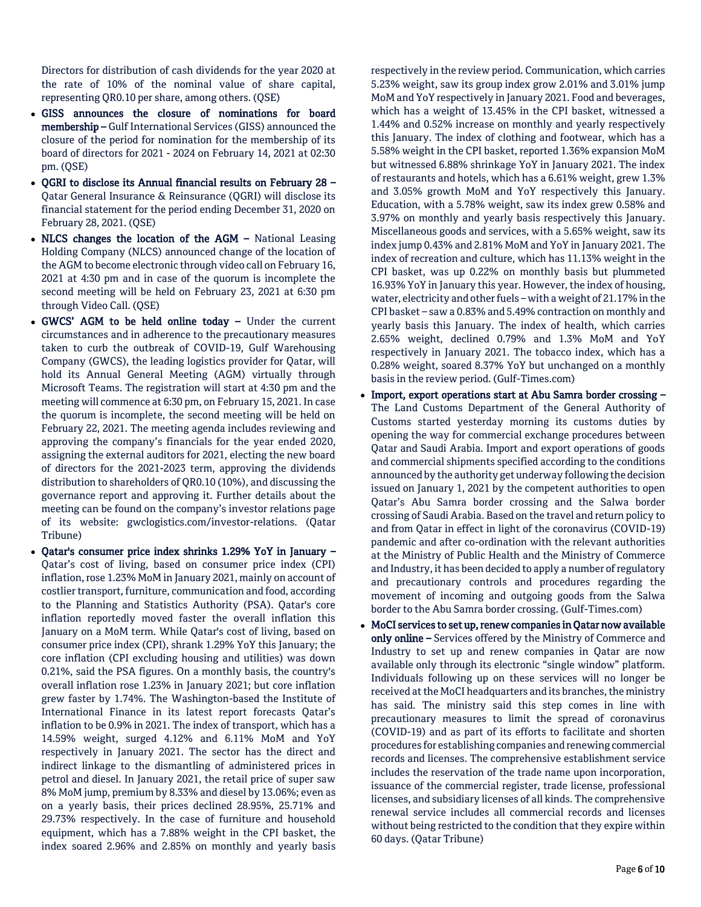Directors for distribution of cash dividends for the year 2020 at the rate of 10% of the nominal value of share capital, representing QR0.10 per share, among others. (QSE)

- GISS announces the closure of nominations for board membership – Gulf International Services (GISS) announced the closure of the period for nomination for the membership of its board of directors for 2021 - 2024 on February 14, 2021 at 02:30 pm. (QSE)
- QGRI to disclose its Annual financial results on February 28 Qatar General Insurance & Reinsurance (QGRI) will disclose its financial statement for the period ending December 31, 2020 on February 28, 2021. (QSE)
- NLCS changes the location of the AGM National Leasing Holding Company (NLCS) announced change of the location of the AGM to become electronic through video call on February 16, 2021 at 4:30 pm and in case of the quorum is incomplete the second meeting will be held on February 23, 2021 at 6:30 pm through Video Call. (QSE)
- GWCS' AGM to be held online today Under the current circumstances and in adherence to the precautionary measures taken to curb the outbreak of COVID-19, Gulf Warehousing Company (GWCS), the leading logistics provider for Qatar, will hold its Annual General Meeting (AGM) virtually through Microsoft Teams. The registration will start at 4:30 pm and the meeting will commence at 6:30 pm, on February 15, 2021. In case the quorum is incomplete, the second meeting will be held on February 22, 2021. The meeting agenda includes reviewing and approving the company's financials for the year ended 2020, assigning the external auditors for 2021, electing the new board of directors for the 2021-2023 term, approving the dividends distribution to shareholders of QR0.10 (10%), and discussing the governance report and approving it. Further details about the meeting can be found on the company's investor relations page of its website: gwclogistics.com/investor-relations. (Qatar Tribune)
- Qatar's consumer price index shrinks 1.29% YoY in January Qatar's cost of living, based on consumer price index (CPI) inflation, rose 1.23% MoM in January 2021, mainly on account of costlier transport, furniture, communication and food, according to the Planning and Statistics Authority (PSA). Qatar's core inflation reportedly moved faster the overall inflation this January on a MoM term. While Qatar's cost of living, based on consumer price index (CPI), shrank 1.29% YoY this January; the core inflation (CPI excluding housing and utilities) was down 0.21%, said the PSA figures. On a monthly basis, the country's overall inflation rose 1.23% in January 2021; but core inflation grew faster by 1.74%. The Washington-based the Institute of International Finance in its latest report forecasts Qatar's inflation to be 0.9% in 2021. The index of transport, which has a 14.59% weight, surged 4.12% and 6.11% MoM and YoY respectively in January 2021. The sector has the direct and indirect linkage to the dismantling of administered prices in petrol and diesel. In January 2021, the retail price of super saw 8% MoM jump, premium by 8.33% and diesel by 13.06%; even as on a yearly basis, their prices declined 28.95%, 25.71% and 29.73% respectively. In the case of furniture and household equipment, which has a 7.88% weight in the CPI basket, the index soared 2.96% and 2.85% on monthly and yearly basis

respectively in the review period. Communication, which carries 5.23% weight, saw its group index grow 2.01% and 3.01% jump MoM and YoY respectively in January 2021. Food and beverages, which has a weight of 13.45% in the CPI basket, witnessed a 1.44% and 0.52% increase on monthly and yearly respectively this January. The index of clothing and footwear, which has a 5.58% weight in the CPI basket, reported 1.36% expansion MoM but witnessed 6.88% shrinkage YoY in January 2021. The index of restaurants and hotels, which has a 6.61% weight, grew 1.3% and 3.05% growth MoM and YoY respectively this January. Education, with a 5.78% weight, saw its index grew 0.58% and 3.97% on monthly and yearly basis respectively this January. Miscellaneous goods and services, with a 5.65% weight, saw its index jump 0.43% and 2.81% MoM and YoY in January 2021. The index of recreation and culture, which has 11.13% weight in the CPI basket, was up 0.22% on monthly basis but plummeted 16.93% YoY in January this year. However, the index of housing, water, electricity and other fuels – with a weight of 21.17% in the CPI basket – saw a 0.83% and 5.49% contraction on monthly and yearly basis this January. The index of health, which carries 2.65% weight, declined 0.79% and 1.3% MoM and YoY respectively in January 2021. The tobacco index, which has a 0.28% weight, soared 8.37% YoY but unchanged on a monthly basis in the review period. (Gulf-Times.com)

- Import, export operations start at Abu Samra border crossing The Land Customs Department of the General Authority of Customs started yesterday morning its customs duties by opening the way for commercial exchange procedures between Qatar and Saudi Arabia. Import and export operations of goods and commercial shipments specified according to the conditions announced by the authority get underway following the decision issued on January 1, 2021 by the competent authorities to open Qatar's Abu Samra border crossing and the Salwa border crossing of Saudi Arabia. Based on the travel and return policy to and from Qatar in effect in light of the coronavirus (COVID-19) pandemic and after co-ordination with the relevant authorities at the Ministry of Public Health and the Ministry of Commerce and Industry, it has been decided to apply a number of regulatory and precautionary controls and procedures regarding the movement of incoming and outgoing goods from the Salwa border to the Abu Samra border crossing. (Gulf-Times.com)
- MoCI services to set up, renew companies in Qatar now available only online – Services offered by the Ministry of Commerce and Industry to set up and renew companies in Qatar are now available only through its electronic "single window" platform. Individuals following up on these services will no longer be received at the MoCI headquarters and its branches, the ministry has said. The ministry said this step comes in line with precautionary measures to limit the spread of coronavirus (COVID-19) and as part of its efforts to facilitate and shorten procedures for establishing companies and renewing commercial records and licenses. The comprehensive establishment service includes the reservation of the trade name upon incorporation, issuance of the commercial register, trade license, professional licenses, and subsidiary licenses of all kinds. The comprehensive renewal service includes all commercial records and licenses without being restricted to the condition that they expire within 60 days. (Qatar Tribune)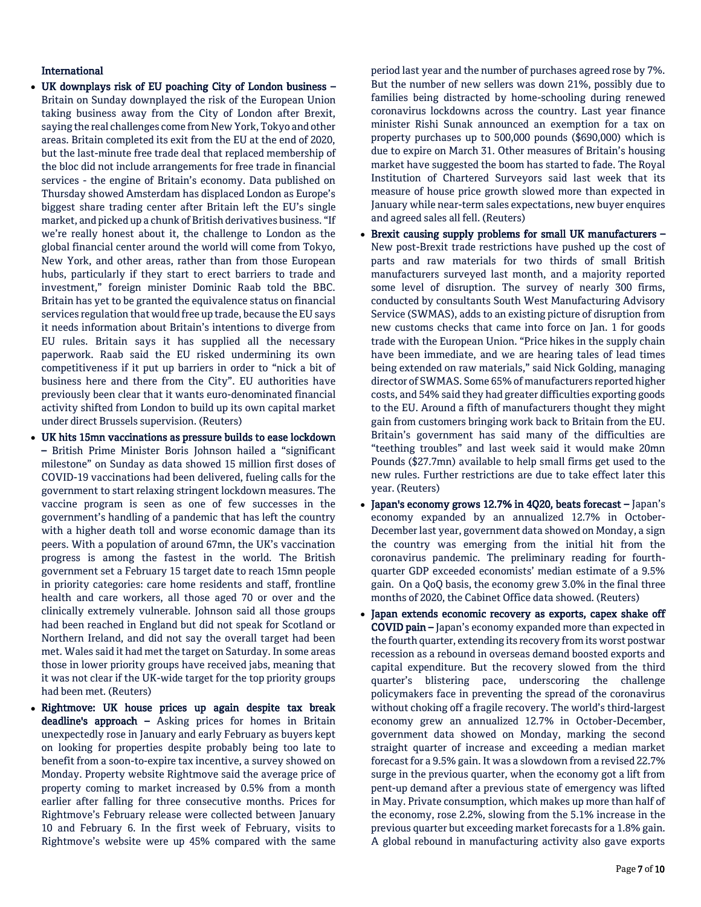#### International

- UK downplays risk of EU poaching City of London business Britain on Sunday downplayed the risk of the European Union taking business away from the City of London after Brexit, saying the real challenges come from New York, Tokyo and other areas. Britain completed its exit from the EU at the end of 2020, but the last-minute free trade deal that replaced membership of the bloc did not include arrangements for free trade in financial services - the engine of Britain's economy. Data published on Thursday showed Amsterdam has displaced London as Europe's biggest share trading center after Britain left the EU's single market, and picked up a chunk of British derivatives business. "If we're really honest about it, the challenge to London as the global financial center around the world will come from Tokyo, New York, and other areas, rather than from those European hubs, particularly if they start to erect barriers to trade and investment," foreign minister Dominic Raab told the BBC. Britain has yet to be granted the equivalence status on financial services regulation that would free up trade, because the EU says it needs information about Britain's intentions to diverge from EU rules. Britain says it has supplied all the necessary paperwork. Raab said the EU risked undermining its own competitiveness if it put up barriers in order to "nick a bit of business here and there from the City". EU authorities have previously been clear that it wants euro-denominated financial activity shifted from London to build up its own capital market under direct Brussels supervision. (Reuters)
- UK hits 15mn vaccinations as pressure builds to ease lockdown – British Prime Minister Boris Johnson hailed a "significant milestone" on Sunday as data showed 15 million first doses of COVID-19 vaccinations had been delivered, fueling calls for the government to start relaxing stringent lockdown measures. The vaccine program is seen as one of few successes in the government's handling of a pandemic that has left the country with a higher death toll and worse economic damage than its peers. With a population of around 67mn, the UK's vaccination progress is among the fastest in the world. The British government set a February 15 target date to reach 15mn people in priority categories: care home residents and staff, frontline health and care workers, all those aged 70 or over and the clinically extremely vulnerable. Johnson said all those groups had been reached in England but did not speak for Scotland or Northern Ireland, and did not say the overall target had been met. Wales said it had met the target on Saturday. In some areas those in lower priority groups have received jabs, meaning that it was not clear if the UK-wide target for the top priority groups had been met. (Reuters)
- Rightmove: UK house prices up again despite tax break deadline's approach - Asking prices for homes in Britain unexpectedly rose in January and early February as buyers kept on looking for properties despite probably being too late to benefit from a soon-to-expire tax incentive, a survey showed on Monday. Property website Rightmove said the average price of property coming to market increased by 0.5% from a month earlier after falling for three consecutive months. Prices for Rightmove's February release were collected between January 10 and February 6. In the first week of February, visits to Rightmove's website were up 45% compared with the same

period last year and the number of purchases agreed rose by 7%. But the number of new sellers was down 21%, possibly due to families being distracted by home-schooling during renewed coronavirus lockdowns across the country. Last year finance minister Rishi Sunak announced an exemption for a tax on property purchases up to 500,000 pounds (\$690,000) which is due to expire on March 31. Other measures of Britain's housing market have suggested the boom has started to fade. The Royal Institution of Chartered Surveyors said last week that its measure of house price growth slowed more than expected in January while near-term sales expectations, new buyer enquires and agreed sales all fell. (Reuters)

- Brexit causing supply problems for small UK manufacturers New post-Brexit trade restrictions have pushed up the cost of parts and raw materials for two thirds of small British manufacturers surveyed last month, and a majority reported some level of disruption. The survey of nearly 300 firms, conducted by consultants South West Manufacturing Advisory Service (SWMAS), adds to an existing picture of disruption from new customs checks that came into force on Jan. 1 for goods trade with the European Union. "Price hikes in the supply chain have been immediate, and we are hearing tales of lead times being extended on raw materials," said Nick Golding, managing director of SWMAS. Some 65% of manufacturers reported higher costs, and 54% said they had greater difficulties exporting goods to the EU. Around a fifth of manufacturers thought they might gain from customers bringing work back to Britain from the EU. Britain's government has said many of the difficulties are "teething troubles" and last week said it would make 20mn Pounds (\$27.7mn) available to help small firms get used to the new rules. Further restrictions are due to take effect later this year. (Reuters)
- Japan's economy grows 12.7% in 4Q20, beats forecast Japan's economy expanded by an annualized 12.7% in October-December last year, government data showed on Monday, a sign the country was emerging from the initial hit from the coronavirus pandemic. The preliminary reading for fourthquarter GDP exceeded economists' median estimate of a 9.5% gain. On a QoQ basis, the economy grew 3.0% in the final three months of 2020, the Cabinet Office data showed. (Reuters)
- Japan extends economic recovery as exports, capex shake off COVID pain – Japan's economy expanded more than expected in the fourth quarter, extending its recovery from its worst postwar recession as a rebound in overseas demand boosted exports and capital expenditure. But the recovery slowed from the third quarter's blistering pace, underscoring the challenge policymakers face in preventing the spread of the coronavirus without choking off a fragile recovery. The world's third-largest economy grew an annualized 12.7% in October-December, government data showed on Monday, marking the second straight quarter of increase and exceeding a median market forecast for a 9.5% gain. It was a slowdown from a revised 22.7% surge in the previous quarter, when the economy got a lift from pent-up demand after a previous state of emergency was lifted in May. Private consumption, which makes up more than half of the economy, rose 2.2%, slowing from the 5.1% increase in the previous quarter but exceeding market forecasts for a 1.8% gain. A global rebound in manufacturing activity also gave exports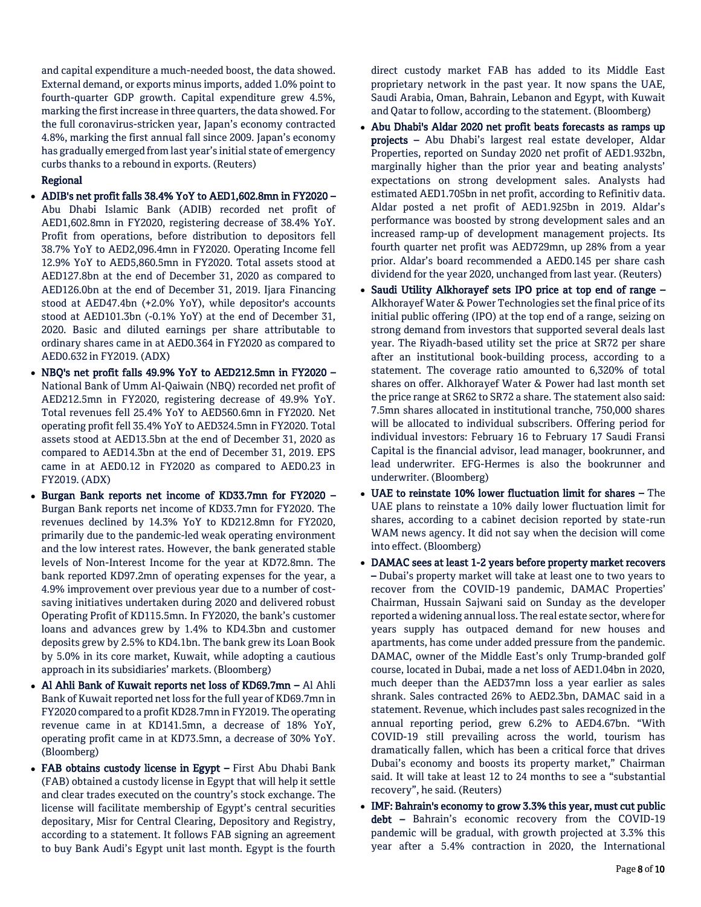and capital expenditure a much-needed boost, the data showed. External demand, or exports minus imports, added 1.0% point to fourth-quarter GDP growth. Capital expenditure grew 4.5%, marking the first increase in three quarters, the data showed. For the full coronavirus-stricken year, Japan's economy contracted 4.8%, marking the first annual fall since 2009. Japan's economy has gradually emerged from last year's initial state of emergency curbs thanks to a rebound in exports. (Reuters)

#### Regional

- ADIB's net profit falls 38.4% YoY to AED1,602.8mn in FY2020 Abu Dhabi Islamic Bank (ADIB) recorded net profit of AED1,602.8mn in FY2020, registering decrease of 38.4% YoY. Profit from operations, before distribution to depositors fell 38.7% YoY to AED2,096.4mn in FY2020. Operating Income fell 12.9% YoY to AED5,860.5mn in FY2020. Total assets stood at AED127.8bn at the end of December 31, 2020 as compared to AED126.0bn at the end of December 31, 2019. Ijara Financing stood at AED47.4bn (+2.0% YoY), while depositor's accounts stood at AED101.3bn (-0.1% YoY) at the end of December 31, 2020. Basic and diluted earnings per share attributable to ordinary shares came in at AED0.364 in FY2020 as compared to AED0.632 in FY2019. (ADX)
- NBQ's net profit falls 49.9% YoY to AED212.5mn in FY2020 National Bank of Umm Al-Qaiwain (NBQ) recorded net profit of AED212.5mn in FY2020, registering decrease of 49.9% YoY. Total revenues fell 25.4% YoY to AED560.6mn in FY2020. Net operating profit fell 35.4% YoY to AED324.5mn in FY2020. Total assets stood at AED13.5bn at the end of December 31, 2020 as compared to AED14.3bn at the end of December 31, 2019. EPS came in at AED0.12 in FY2020 as compared to AED0.23 in FY2019. (ADX)
- Burgan Bank reports net income of KD33.7mn for FY2020 Burgan Bank reports net income of KD33.7mn for FY2020. The revenues declined by 14.3% YoY to KD212.8mn for FY2020, primarily due to the pandemic-led weak operating environment and the low interest rates. However, the bank generated stable levels of Non-Interest Income for the year at KD72.8mn. The bank reported KD97.2mn of operating expenses for the year, a 4.9% improvement over previous year due to a number of costsaving initiatives undertaken during 2020 and delivered robust Operating Profit of KD115.5mn. In FY2020, the bank's customer loans and advances grew by 1.4% to KD4.3bn and customer deposits grew by 2.5% to KD4.1bn. The bank grew its Loan Book by 5.0% in its core market, Kuwait, while adopting a cautious approach in its subsidiaries' markets. (Bloomberg)
- Al Ahli Bank of Kuwait reports net loss of KD69.7mn Al Ahli Bank of Kuwait reported net loss for the full year of KD69.7mn in FY2020 compared to a profit KD28.7mn in FY2019. The operating revenue came in at KD141.5mn, a decrease of 18% YoY, operating profit came in at KD73.5mn, a decrease of 30% YoY. (Bloomberg)
- FAB obtains custody license in Egypt First Abu Dhabi Bank (FAB) obtained a custody license in Egypt that will help it settle and clear trades executed on the country's stock exchange. The license will facilitate membership of Egypt's central securities depositary, Misr for Central Clearing, Depository and Registry, according to a statement. It follows FAB signing an agreement to buy Bank Audi's Egypt unit last month. Egypt is the fourth

direct custody market FAB has added to its Middle East proprietary network in the past year. It now spans the UAE, Saudi Arabia, Oman, Bahrain, Lebanon and Egypt, with Kuwait and Qatar to follow, according to the statement. (Bloomberg)

- Abu Dhabi's Aldar 2020 net profit beats forecasts as ramps up projects – Abu Dhabi's largest real estate developer, Aldar Properties, reported on Sunday 2020 net profit of AED1.932bn, marginally higher than the prior year and beating analysts' expectations on strong development sales. Analysts had estimated AED1.705bn in net profit, according to Refinitiv data. Aldar posted a net profit of AED1.925bn in 2019. Aldar's performance was boosted by strong development sales and an increased ramp-up of development management projects. Its fourth quarter net profit was AED729mn, up 28% from a year prior. Aldar's board recommended a AED0.145 per share cash dividend for the year 2020, unchanged from last year. (Reuters)
- Saudi Utility Alkhorayef sets IPO price at top end of range Alkhorayef Water & Power Technologies set the final price of its initial public offering (IPO) at the top end of a range, seizing on strong demand from investors that supported several deals last year. The Riyadh-based utility set the price at SR72 per share after an institutional book-building process, according to a statement. The coverage ratio amounted to 6,320% of total shares on offer. Alkhorayef Water & Power had last month set the price range at SR62 to SR72 a share. The statement also said: 7.5mn shares allocated in institutional tranche, 750,000 shares will be allocated to individual subscribers. Offering period for individual investors: February 16 to February 17 Saudi Fransi Capital is the financial advisor, lead manager, bookrunner, and lead underwriter. EFG-Hermes is also the bookrunner and underwriter. (Bloomberg)
- UAE to reinstate 10% lower fluctuation limit for shares The UAE plans to reinstate a 10% daily lower fluctuation limit for shares, according to a cabinet decision reported by state-run WAM news agency. It did not say when the decision will come into effect. (Bloomberg)
- DAMAC sees at least 1-2 years before property market recovers – Dubai's property market will take at least one to two years to recover from the COVID-19 pandemic, DAMAC Properties' Chairman, Hussain Sajwani said on Sunday as the developer reported a widening annual loss. The real estate sector, where for years supply has outpaced demand for new houses and apartments, has come under added pressure from the pandemic. DAMAC, owner of the Middle East's only Trump-branded golf course, located in Dubai, made a net loss of AED1.04bn in 2020, much deeper than the AED37mn loss a year earlier as sales shrank. Sales contracted 26% to AED2.3bn, DAMAC said in a statement. Revenue, which includes past sales recognized in the annual reporting period, grew 6.2% to AED4.67bn. "With COVID-19 still prevailing across the world, tourism has dramatically fallen, which has been a critical force that drives Dubai's economy and boosts its property market," Chairman said. It will take at least 12 to 24 months to see a "substantial recovery", he said. (Reuters)
- IMF: Bahrain's economy to grow 3.3% this year, must cut public debt - Bahrain's economic recovery from the COVID-19 pandemic will be gradual, with growth projected at 3.3% this year after a 5.4% contraction in 2020, the International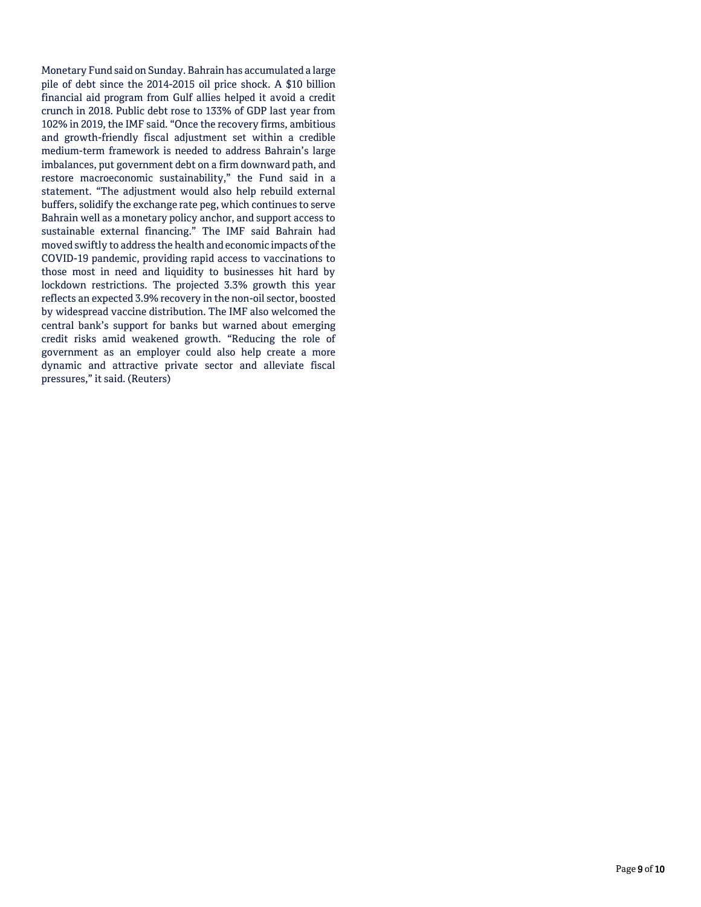Monetary Fund said on Sunday. Bahrain has accumulated a large pile of debt since the 2014-2015 oil price shock. A \$10 billion financial aid program from Gulf allies helped it avoid a credit crunch in 2018. Public debt rose to 133% of GDP last year from 102% in 2019, the IMF said. "Once the recovery firms, ambitious and growth-friendly fiscal adjustment set within a credible medium-term framework is needed to address Bahrain's large imbalances, put government debt on a firm downward path, and restore macroeconomic sustainability," the Fund said in a statement. "The adjustment would also help rebuild external buffers, solidify the exchange rate peg, which continues to serve Bahrain well as a monetary policy anchor, and support access to sustainable external financing." The IMF said Bahrain had moved swiftly to address the health and economic impacts of the COVID-19 pandemic, providing rapid access to vaccinations to those most in need and liquidity to businesses hit hard by lockdown restrictions. The projected 3.3% growth this year reflects an expected 3.9% recovery in the non-oil sector, boosted by widespread vaccine distribution. The IMF also welcomed the central bank's support for banks but warned about emerging credit risks amid weakened growth. "Reducing the role of government as an employer could also help create a more dynamic and attractive private sector and alleviate fiscal pressures," it said. (Reuters)